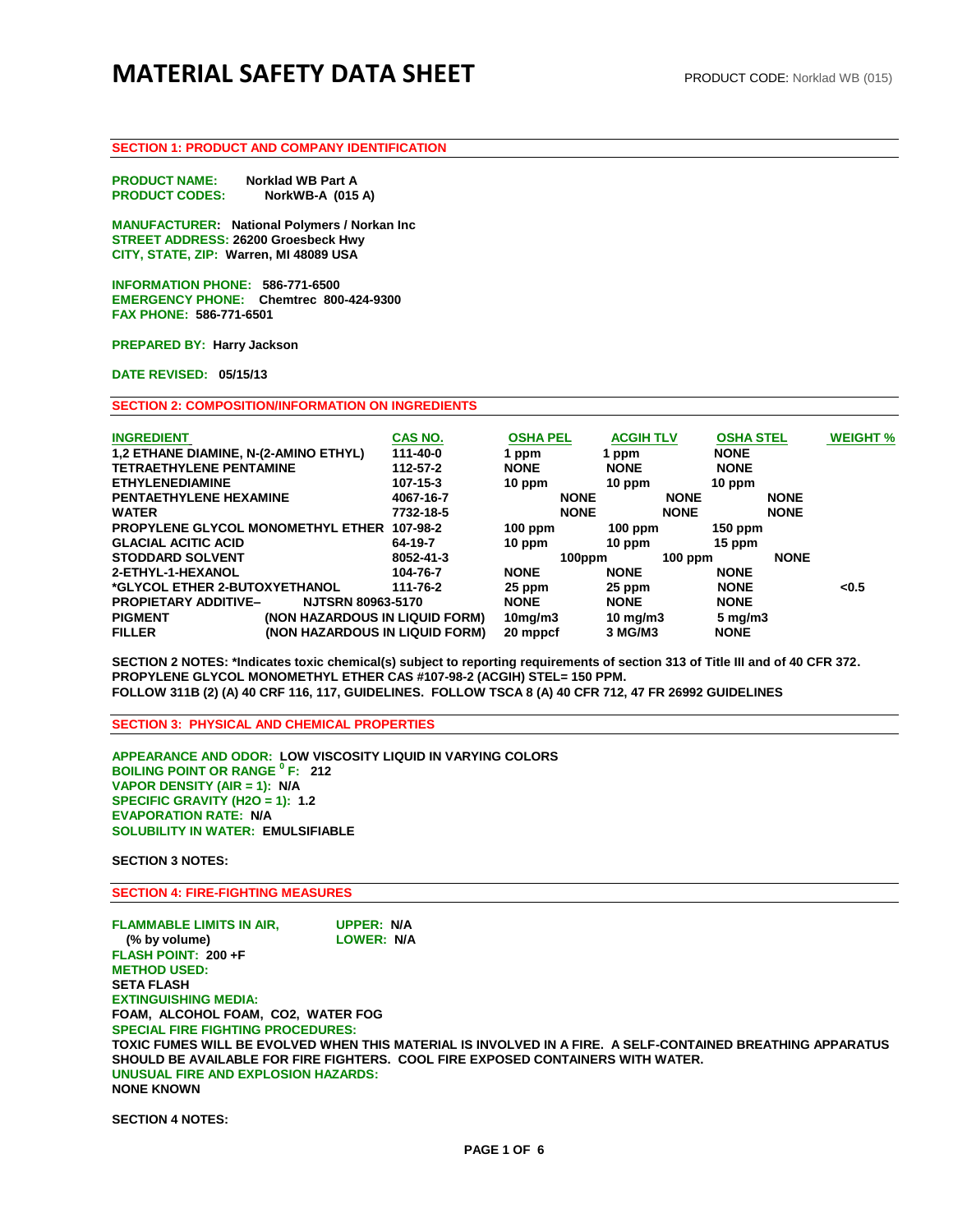# **MATERIAL SAFETY DATA SHEET** PRODUCT CODE: Norklad WB (015)

## **SECTION 1: PRODUCT AND COMPANY IDENTIFICATION**

**PRODUCT NAME: Norklad WB Part A<br>PRODUCT CODES: NorkWB-A (015 NorkWB-A (015 A)** 

**MANUFACTURER: National Polymers / Norkan Inc STREET ADDRESS: 26200 Groesbeck Hwy CITY, STATE, ZIP: Warren, MI 48089 USA** 

**INFORMATION PHONE: 586-771-6500 EMERGENCY PHONE: Chemtrec 800-424-9300 FAX PHONE: 586-771-6501** 

**PREPARED BY: Harry Jackson** 

**DATE REVISED: 05/15/13**

**SECTION 2: COMPOSITION/INFORMATION ON INGREDIENTS**

| <b>INGREDIENT</b><br>1,2 ETHANE DIAMINE, N-(2-AMINO ETHYL)<br><b>TETRAETHYLENE PENTAMINE</b><br><b>ETHYLENEDIAMINE</b> |                                | <b>CAS NO.</b><br>111-40-0<br>112-57-2<br>$107 - 15 - 3$ | <b>OSHA PEL</b><br>1 ppm<br><b>NONE</b><br>$10$ ppm |             | <b>ACGIH TLV</b><br>1 ppm<br><b>NONE</b><br>10 ppm |             | <b>OSHA STEL</b><br><b>NONE</b><br><b>NONE</b><br>$10$ ppm |             | <b>WEIGHT %</b> |
|------------------------------------------------------------------------------------------------------------------------|--------------------------------|----------------------------------------------------------|-----------------------------------------------------|-------------|----------------------------------------------------|-------------|------------------------------------------------------------|-------------|-----------------|
| <b>PENTAETHYLENE HEXAMINE</b>                                                                                          |                                | 4067-16-7                                                |                                                     | <b>NONE</b> |                                                    | <b>NONE</b> |                                                            | <b>NONE</b> |                 |
| <b>WATER</b>                                                                                                           |                                | 7732-18-5                                                |                                                     | <b>NONE</b> |                                                    | <b>NONE</b> |                                                            | <b>NONE</b> |                 |
| PROPYLENE GLYCOL MONOMETHYL ETHER                                                                                      |                                | 107-98-2                                                 | $100$ ppm                                           |             | $100$ ppm                                          |             | 150 ppm                                                    |             |                 |
| <b>GLACIAL ACITIC ACID</b>                                                                                             |                                | 64-19-7                                                  | $10$ ppm                                            |             | 10 ppm                                             |             | $15$ ppm                                                   |             |                 |
| <b>STODDARD SOLVENT</b>                                                                                                |                                | 8052-41-3                                                |                                                     | 100ppm      |                                                    | $100$ ppm   |                                                            | <b>NONE</b> |                 |
| 2-ETHYL-1-HEXANOL                                                                                                      |                                | 104-76-7                                                 | <b>NONE</b>                                         |             | <b>NONE</b>                                        |             | <b>NONE</b>                                                |             |                 |
| *GLYCOL ETHER 2-BUTOXYETHANOL                                                                                          |                                | 111-76-2                                                 | 25 ppm                                              |             | 25 ppm                                             |             | <b>NONE</b>                                                |             | < 0.5           |
| <b>PROPIETARY ADDITIVE-</b>                                                                                            | <b>NJTSRN 80963-5170</b>       |                                                          | <b>NONE</b>                                         |             | <b>NONE</b>                                        |             | <b>NONE</b>                                                |             |                 |
| <b>PIGMENT</b>                                                                                                         | (NON HAZARDOUS IN LIQUID FORM) |                                                          | $10$ mg/m $3$                                       |             | 10 mg/m $3$                                        |             | $5 \,\mathrm{mg/m}$                                        |             |                 |
| <b>FILLER</b>                                                                                                          | (NON HAZARDOUS IN LIQUID FORM) |                                                          | 20 mppcf                                            |             | 3 MG/M3                                            |             | <b>NONE</b>                                                |             |                 |

**SECTION 2 NOTES: \*Indicates toxic chemical(s) subject to reporting requirements of section 313 of Title III and of 40 CFR 372. PROPYLENE GLYCOL MONOMETHYL ETHER CAS #107-98-2 (ACGIH) STEL= 150 PPM. FOLLOW 311B (2) (A) 40 CRF 116, 117, GUIDELINES. FOLLOW TSCA 8 (A) 40 CFR 712, 47 FR 26992 GUIDELINES** 

**SECTION 3: PHYSICAL AND CHEMICAL PROPERTIES**

**APPEARANCE AND ODOR: LOW VISCOSITY LIQUID IN VARYING COLORS BOILING POINT OR RANGE <sup>0</sup> F: 212 VAPOR DENSITY (AIR = 1): N/A SPECIFIC GRAVITY (H2O = 1): 1.2 EVAPORATION RATE: N/A SOLUBILITY IN WATER: EMULSIFIABLE** 

**SECTION 3 NOTES:** 

**SECTION 4: FIRE-FIGHTING MEASURES** 

**FLAMMABLE LIMITS IN AIR, UPPER: N/A (% by volume) LOWER: N/A FLASH POINT: 200 +F METHOD USED: SETA FLASH EXTINGUISHING MEDIA: FOAM, ALCOHOL FOAM, CO2, WATER FOG SPECIAL FIRE FIGHTING PROCEDURES: TOXIC FUMES WILL BE EVOLVED WHEN THIS MATERIAL IS INVOLVED IN A FIRE. A SELF-CONTAINED BREATHING APPARATUS SHOULD BE AVAILABLE FOR FIRE FIGHTERS. COOL FIRE EXPOSED CONTAINERS WITH WATER. UNUSUAL FIRE AND EXPLOSION HAZARDS: NONE KNOWN** 

**SECTION 4 NOTES:**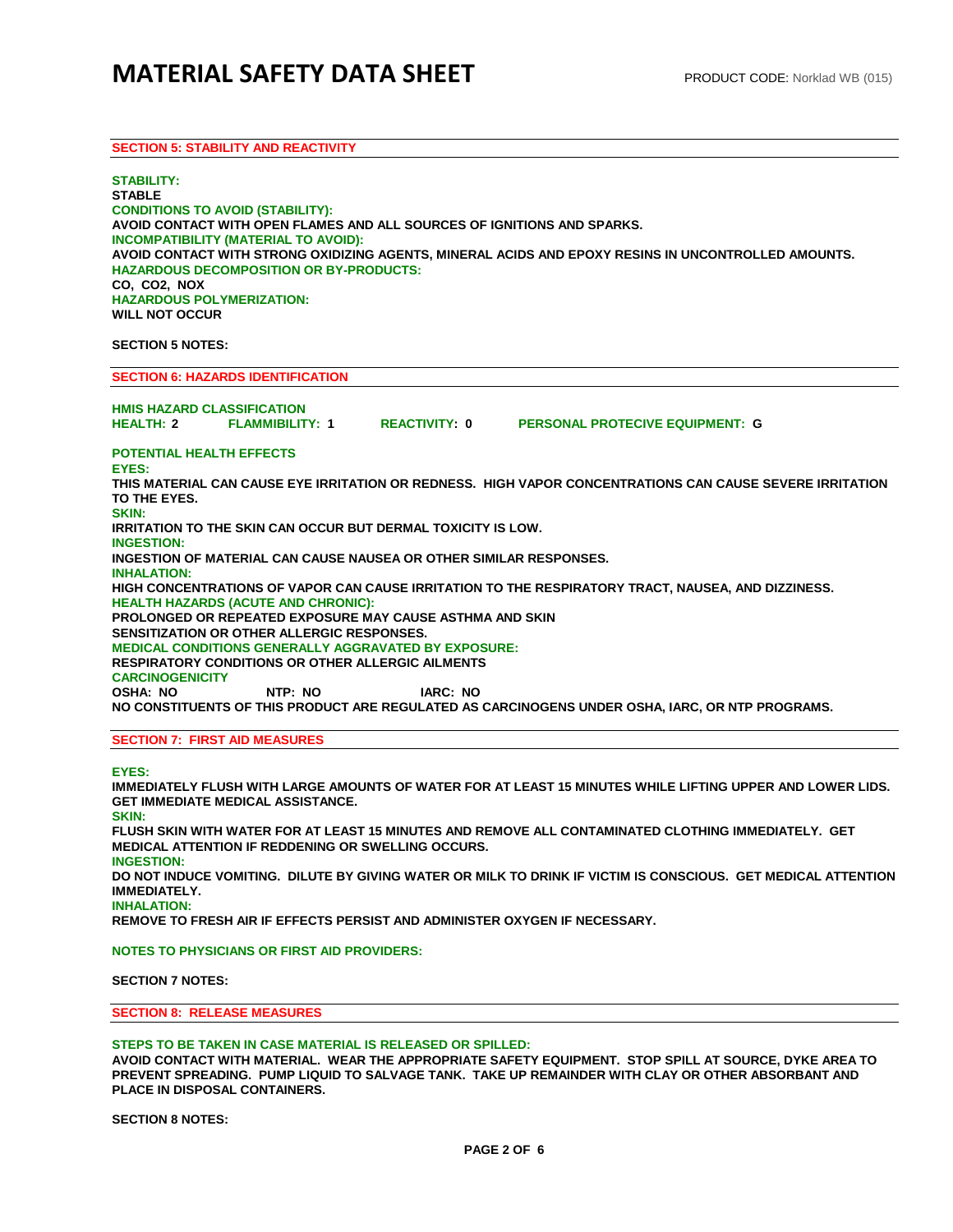## **SECTION 5: STABILITY AND REACTIVITY**

**STABILITY: STABLE CONDITIONS TO AVOID (STABILITY): AVOID CONTACT WITH OPEN FLAMES AND ALL SOURCES OF IGNITIONS AND SPARKS. INCOMPATIBILITY (MATERIAL TO AVOID): AVOID CONTACT WITH STRONG OXIDIZING AGENTS, MINERAL ACIDS AND EPOXY RESINS IN UNCONTROLLED AMOUNTS. HAZARDOUS DECOMPOSITION OR BY-PRODUCTS: CO, CO2, NOX HAZARDOUS POLYMERIZATION: WILL NOT OCCUR** 

## **SECTION 5 NOTES:**

**SECTION 6: HAZARDS IDENTIFICATION**

**HMIS HAZARD CLASSIFICATION HEALTH: 2 FLAMMIBILITY: 1 REACTIVITY: 0 PERSONAL PROTECIVE EQUIPMENT: G POTENTIAL HEALTH EFFECTS EYES: THIS MATERIAL CAN CAUSE EYE IRRITATION OR REDNESS. HIGH VAPOR CONCENTRATIONS CAN CAUSE SEVERE IRRITATION TO THE EYES. SKIN: IRRITATION TO THE SKIN CAN OCCUR BUT DERMAL TOXICITY IS LOW. INGESTION: INGESTION OF MATERIAL CAN CAUSE NAUSEA OR OTHER SIMILAR RESPONSES. INHALATION: HIGH CONCENTRATIONS OF VAPOR CAN CAUSE IRRITATION TO THE RESPIRATORY TRACT, NAUSEA, AND DIZZINESS. HEALTH HAZARDS (ACUTE AND CHRONIC): PROLONGED OR REPEATED EXPOSURE MAY CAUSE ASTHMA AND SKIN SENSITIZATION OR OTHER ALLERGIC RESPONSES. MEDICAL CONDITIONS GENERALLY AGGRAVATED BY EXPOSURE: RESPIRATORY CONDITIONS OR OTHER ALLERGIC AILMENTS CARCINOGENICITY OSHA: NO NTP: NO IARC: NO NO CONSTITUENTS OF THIS PRODUCT ARE REGULATED AS CARCINOGENS UNDER OSHA, IARC, OR NTP PROGRAMS. SECTION 7: FIRST AID MEASURES**

#### **EYES:**

**IMMEDIATELY FLUSH WITH LARGE AMOUNTS OF WATER FOR AT LEAST 15 MINUTES WHILE LIFTING UPPER AND LOWER LIDS. GET IMMEDIATE MEDICAL ASSISTANCE.** 

**SKIN:** 

**FLUSH SKIN WITH WATER FOR AT LEAST 15 MINUTES AND REMOVE ALL CONTAMINATED CLOTHING IMMEDIATELY. GET MEDICAL ATTENTION IF REDDENING OR SWELLING OCCURS. INGESTION: DO NOT INDUCE VOMITING. DILUTE BY GIVING WATER OR MILK TO DRINK IF VICTIM IS CONSCIOUS. GET MEDICAL ATTENTION IMMEDIATELY. INHALATION:** 

**REMOVE TO FRESH AIR IF EFFECTS PERSIST AND ADMINISTER OXYGEN IF NECESSARY.**

**NOTES TO PHYSICIANS OR FIRST AID PROVIDERS:** 

**SECTION 7 NOTES:**

#### **SECTION 8: RELEASE MEASURES**

#### **STEPS TO BE TAKEN IN CASE MATERIAL IS RELEASED OR SPILLED:**

**AVOID CONTACT WITH MATERIAL. WEAR THE APPROPRIATE SAFETY EQUIPMENT. STOP SPILL AT SOURCE, DYKE AREA TO PREVENT SPREADING. PUMP LIQUID TO SALVAGE TANK. TAKE UP REMAINDER WITH CLAY OR OTHER ABSORBANT AND PLACE IN DISPOSAL CONTAINERS.**

**SECTION 8 NOTES:**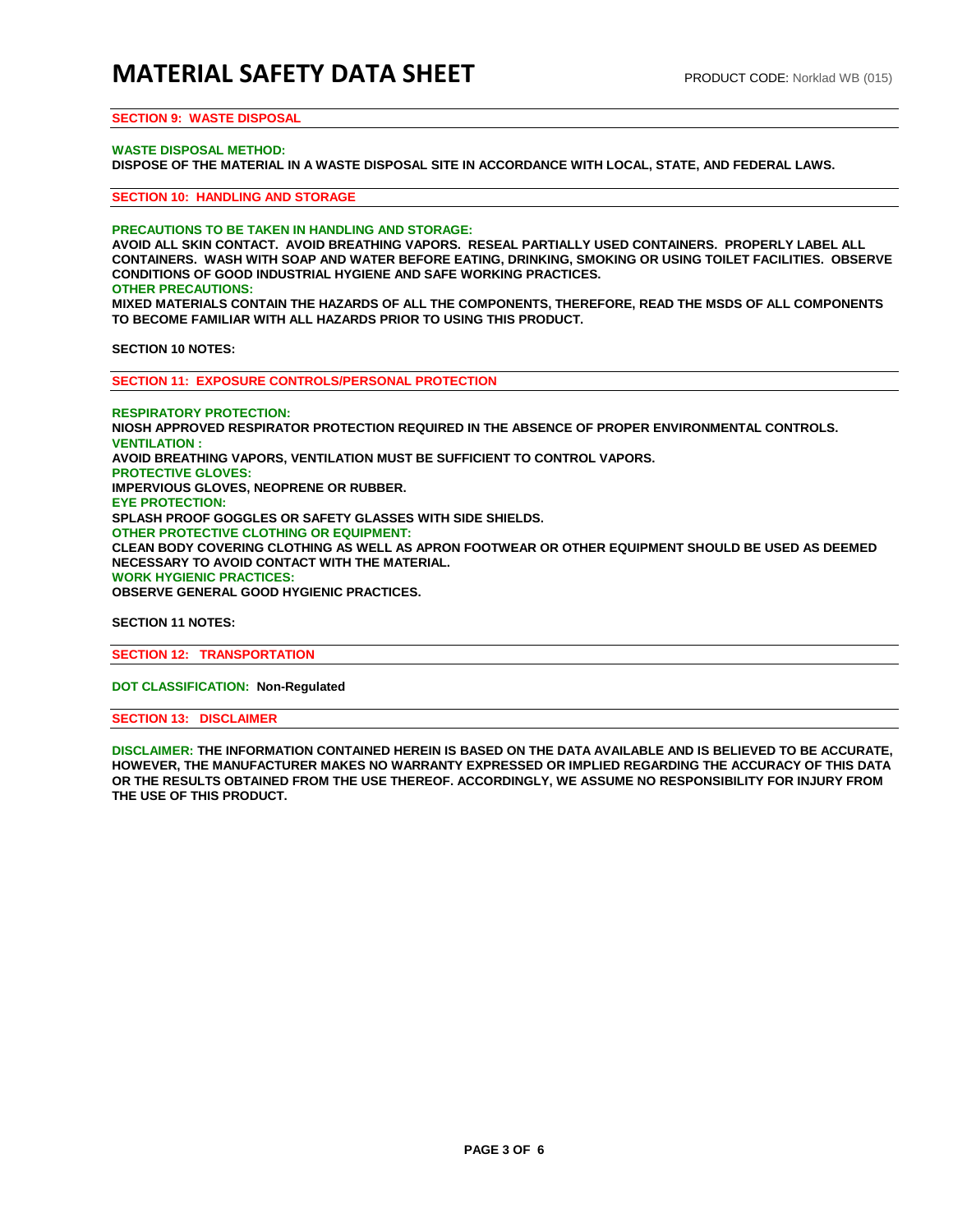## **SECTION 9: WASTE DISPOSAL**

#### **WASTE DISPOSAL METHOD:**

**DISPOSE OF THE MATERIAL IN A WASTE DISPOSAL SITE IN ACCORDANCE WITH LOCAL, STATE, AND FEDERAL LAWS.** 

**SECTION 10: HANDLING AND STORAGE**

**PRECAUTIONS TO BE TAKEN IN HANDLING AND STORAGE:** 

**AVOID ALL SKIN CONTACT. AVOID BREATHING VAPORS. RESEAL PARTIALLY USED CONTAINERS. PROPERLY LABEL ALL CONTAINERS. WASH WITH SOAP AND WATER BEFORE EATING, DRINKING, SMOKING OR USING TOILET FACILITIES. OBSERVE CONDITIONS OF GOOD INDUSTRIAL HYGIENE AND SAFE WORKING PRACTICES. OTHER PRECAUTIONS:** 

**MIXED MATERIALS CONTAIN THE HAZARDS OF ALL THE COMPONENTS, THEREFORE, READ THE MSDS OF ALL COMPONENTS TO BECOME FAMILIAR WITH ALL HAZARDS PRIOR TO USING THIS PRODUCT.**

**SECTION 10 NOTES:**

**SECTION 11: EXPOSURE CONTROLS/PERSONAL PROTECTION**

**RESPIRATORY PROTECTION: NIOSH APPROVED RESPIRATOR PROTECTION REQUIRED IN THE ABSENCE OF PROPER ENVIRONMENTAL CONTROLS. VENTILATION : AVOID BREATHING VAPORS, VENTILATION MUST BE SUFFICIENT TO CONTROL VAPORS. PROTECTIVE GLOVES: IMPERVIOUS GLOVES, NEOPRENE OR RUBBER. EYE PROTECTION: SPLASH PROOF GOGGLES OR SAFETY GLASSES WITH SIDE SHIELDS. OTHER PROTECTIVE CLOTHING OR EQUIPMENT: CLEAN BODY COVERING CLOTHING AS WELL AS APRON FOOTWEAR OR OTHER EQUIPMENT SHOULD BE USED AS DEEMED NECESSARY TO AVOID CONTACT WITH THE MATERIAL. WORK HYGIENIC PRACTICES: OBSERVE GENERAL GOOD HYGIENIC PRACTICES.**

**SECTION 11 NOTES:** 

**SECTION 12: TRANSPORTATION**

**DOT CLASSIFICATION: Non-Regulated**

**SECTION 13: DISCLAIMER**

**DISCLAIMER: THE INFORMATION CONTAINED HEREIN IS BASED ON THE DATA AVAILABLE AND IS BELIEVED TO BE ACCURATE, HOWEVER, THE MANUFACTURER MAKES NO WARRANTY EXPRESSED OR IMPLIED REGARDING THE ACCURACY OF THIS DATA OR THE RESULTS OBTAINED FROM THE USE THEREOF. ACCORDINGLY, WE ASSUME NO RESPONSIBILITY FOR INJURY FROM THE USE OF THIS PRODUCT.**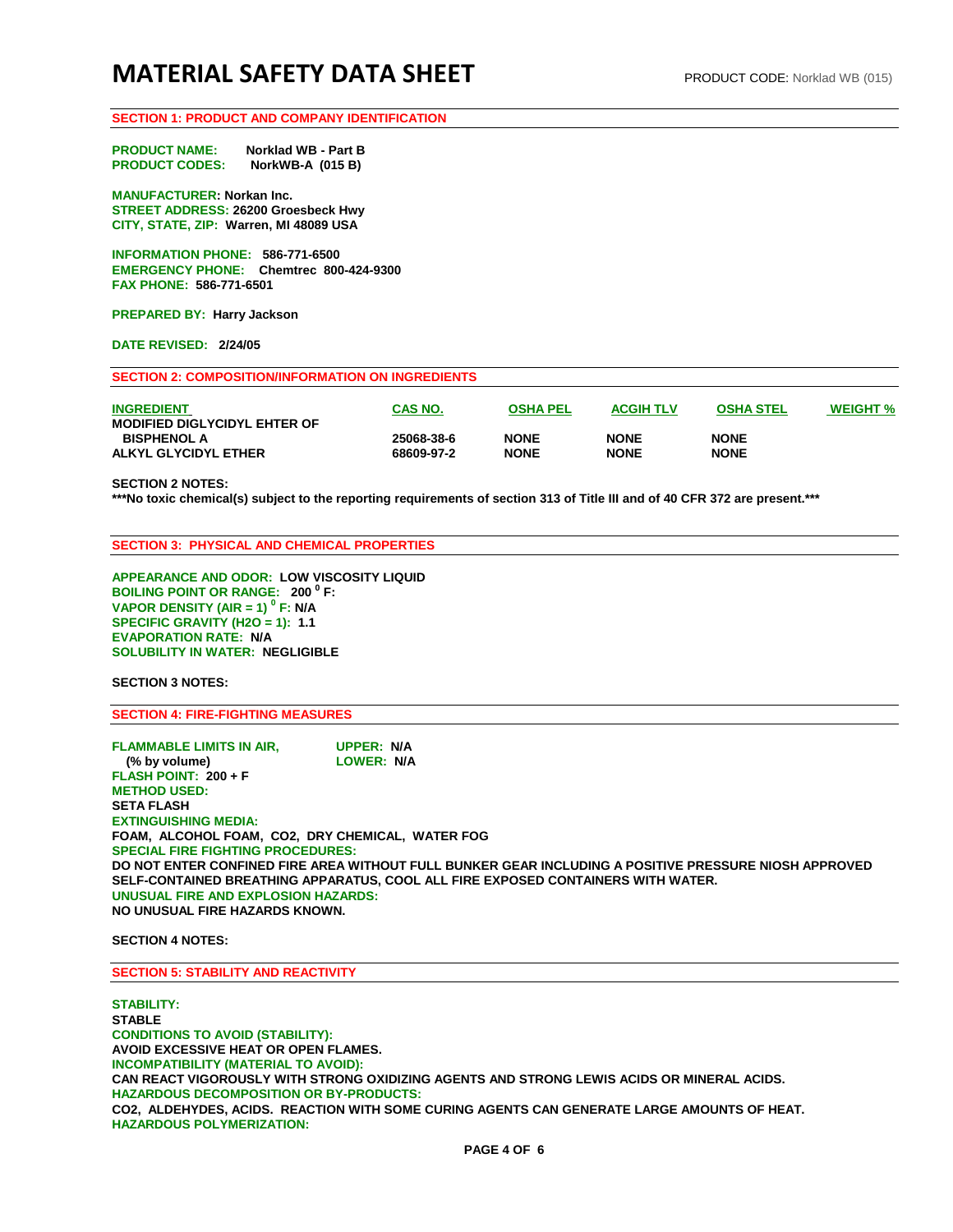## **SECTION 1: PRODUCT AND COMPANY IDENTIFICATION**

**PRODUCT NAME: Norklad WB - Part B PRODUCT CODES: NorkWB-A (015 B)**

**MANUFACTURER: Norkan Inc. STREET ADDRESS: 26200 Groesbeck Hwy CITY, STATE, ZIP: Warren, MI 48089 USA** 

**INFORMATION PHONE: 586-771-6500 EMERGENCY PHONE: Chemtrec 800-424-9300 FAX PHONE: 586-771-6501** 

**PREPARED BY: Harry Jackson** 

**DATE REVISED: 2/24/05** 

**SECTION 2: COMPOSITION/INFORMATION ON INGREDIENTS**

| <b>INGREDIENT</b><br><b>MODIFIED DIGLYCIDYL EHTER OF</b> | <b>CAS NO.</b> | <b>OSHA PEL</b> | <b>ACGIH TLV</b> | <b>OSHA STEL</b> | <b>WEIGHT %</b> |
|----------------------------------------------------------|----------------|-----------------|------------------|------------------|-----------------|
| <b>BISPHENOL A</b>                                       | 25068-38-6     | <b>NONE</b>     | <b>NONE</b>      | <b>NONE</b>      |                 |
| ALKYL GLYCIDYL ETHER                                     | 68609-97-2     | <b>NONE</b>     | <b>NONE</b>      | <b>NONE</b>      |                 |

**SECTION 2 NOTES:** 

**\*\*\*No toxic chemical(s) subject to the reporting requirements of section 313 of Title III and of 40 CFR 372 are present.\*\*\*** 

**SECTION 3: PHYSICAL AND CHEMICAL PROPERTIES**

**APPEARANCE AND ODOR: LOW VISCOSITY LIQUID BOILING POINT OR RANGE: 200 <sup>0</sup> F: VAPOR DENSITY (AIR = 1) 0 F: N/A SPECIFIC GRAVITY (H2O = 1): 1.1 EVAPORATION RATE: N/A SOLUBILITY IN WATER: NEGLIGIBLE**

**SECTION 3 NOTES:** 

**SECTION 4: FIRE-FIGHTING MEASURES** 

**FLAMMABLE LIMITS IN AIR, UPPER: N/A** (% by volume) **FLASH POINT: 200 + F METHOD USED: SETA FLASH EXTINGUISHING MEDIA: FOAM, ALCOHOL FOAM, CO2, DRY CHEMICAL, WATER FOG SPECIAL FIRE FIGHTING PROCEDURES: DO NOT ENTER CONFINED FIRE AREA WITHOUT FULL BUNKER GEAR INCLUDING A POSITIVE PRESSURE NIOSH APPROVED SELF-CONTAINED BREATHING APPARATUS, COOL ALL FIRE EXPOSED CONTAINERS WITH WATER. UNUSUAL FIRE AND EXPLOSION HAZARDS: NO UNUSUAL FIRE HAZARDS KNOWN.** 

**SECTION 4 NOTES:** 

**SECTION 5: STABILITY AND REACTIVITY**

**STABILITY: STABLE CONDITIONS TO AVOID (STABILITY): AVOID EXCESSIVE HEAT OR OPEN FLAMES. INCOMPATIBILITY (MATERIAL TO AVOID): CAN REACT VIGOROUSLY WITH STRONG OXIDIZING AGENTS AND STRONG LEWIS ACIDS OR MINERAL ACIDS. HAZARDOUS DECOMPOSITION OR BY-PRODUCTS: CO2, ALDEHYDES, ACIDS. REACTION WITH SOME CURING AGENTS CAN GENERATE LARGE AMOUNTS OF HEAT. HAZARDOUS POLYMERIZATION:**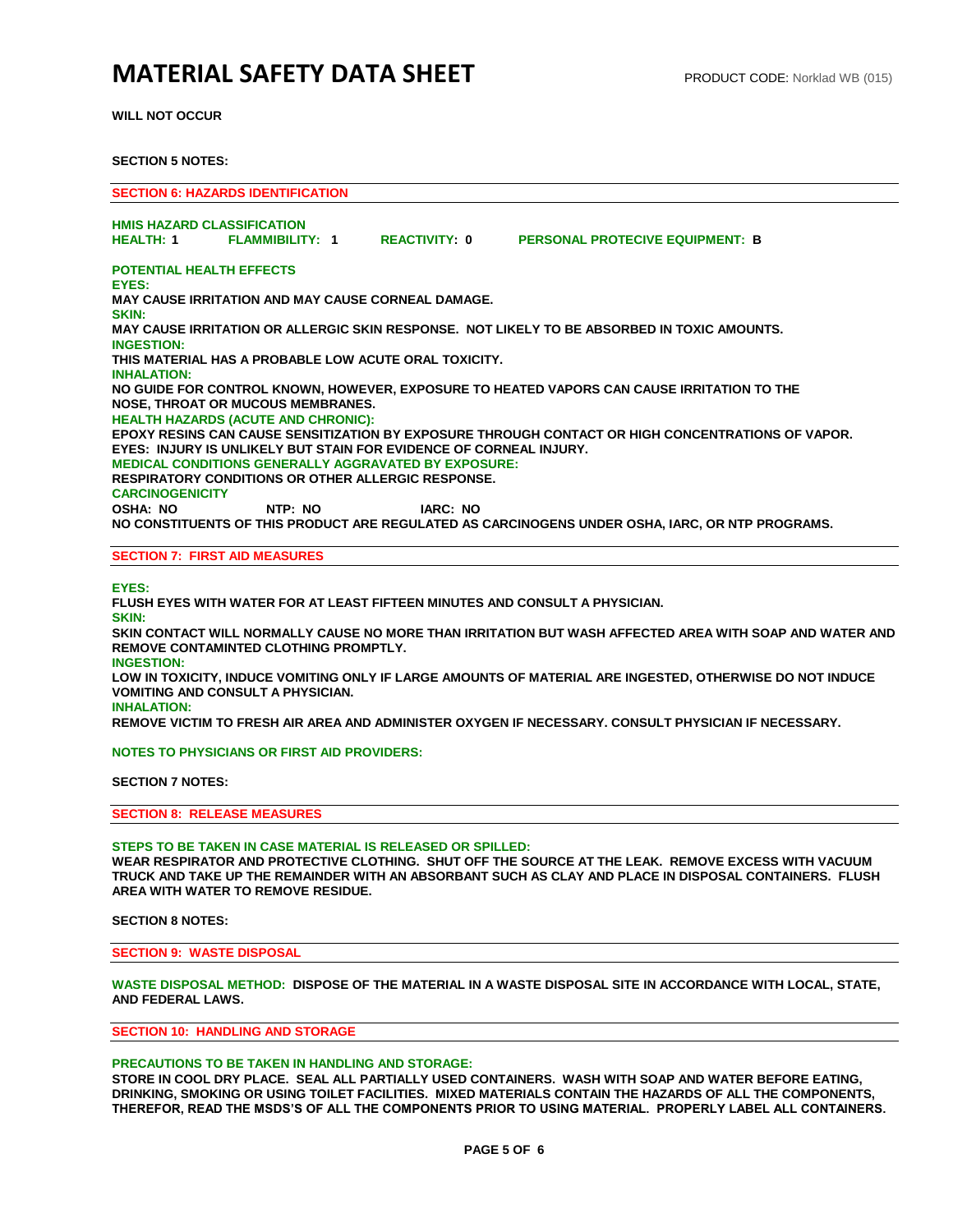# **MATERIAL SAFETY DATA SHEET** PRODUCT CODE: Norklad WB (015)

**WILL NOT OCCUR**

### **SECTION 5 NOTES:**

**SECTION 6: HAZARDS IDENTIFICATION HMIS HAZARD CLASSIFICATION HEALTH: 1 FLAMMIBILITY: 1 REACTIVITY: 0 PERSONAL PROTECIVE EQUIPMENT: B POTENTIAL HEALTH EFFECTS EYES: MAY CAUSE IRRITATION AND MAY CAUSE CORNEAL DAMAGE. SKIN: MAY CAUSE IRRITATION OR ALLERGIC SKIN RESPONSE. NOT LIKELY TO BE ABSORBED IN TOXIC AMOUNTS. INGESTION: THIS MATERIAL HAS A PROBABLE LOW ACUTE ORAL TOXICITY. INHALATION: NO GUIDE FOR CONTROL KNOWN, HOWEVER, EXPOSURE TO HEATED VAPORS CAN CAUSE IRRITATION TO THE NOSE, THROAT OR MUCOUS MEMBRANES. HEALTH HAZARDS (ACUTE AND CHRONIC): EPOXY RESINS CAN CAUSE SENSITIZATION BY EXPOSURE THROUGH CONTACT OR HIGH CONCENTRATIONS OF VAPOR. EYES: INJURY IS UNLIKELY BUT STAIN FOR EVIDENCE OF CORNEAL INJURY. MEDICAL CONDITIONS GENERALLY AGGRAVATED BY EXPOSURE: RESPIRATORY CONDITIONS OR OTHER ALLERGIC RESPONSE. CARCINOGENICITY OSHA: NO NTP: NO IARC: NO NO CONSTITUENTS OF THIS PRODUCT ARE REGULATED AS CARCINOGENS UNDER OSHA, IARC, OR NTP PROGRAMS.**

## **SECTION 7: FIRST AID MEASURES**

**EYES:** 

**FLUSH EYES WITH WATER FOR AT LEAST FIFTEEN MINUTES AND CONSULT A PHYSICIAN. SKIN: SKIN CONTACT WILL NORMALLY CAUSE NO MORE THAN IRRITATION BUT WASH AFFECTED AREA WITH SOAP AND WATER AND REMOVE CONTAMINTED CLOTHING PROMPTLY. INGESTION: LOW IN TOXICITY, INDUCE VOMITING ONLY IF LARGE AMOUNTS OF MATERIAL ARE INGESTED, OTHERWISE DO NOT INDUCE VOMITING AND CONSULT A PHYSICIAN.** 

**INHALATION: REMOVE VICTIM TO FRESH AIR AREA AND ADMINISTER OXYGEN IF NECESSARY. CONSULT PHYSICIAN IF NECESSARY.**

**NOTES TO PHYSICIANS OR FIRST AID PROVIDERS:**

**SECTION 7 NOTES:**

**SECTION 8: RELEASE MEASURES**

**STEPS TO BE TAKEN IN CASE MATERIAL IS RELEASED OR SPILLED: WEAR RESPIRATOR AND PROTECTIVE CLOTHING. SHUT OFF THE SOURCE AT THE LEAK. REMOVE EXCESS WITH VACUUM TRUCK AND TAKE UP THE REMAINDER WITH AN ABSORBANT SUCH AS CLAY AND PLACE IN DISPOSAL CONTAINERS. FLUSH AREA WITH WATER TO REMOVE RESIDUE.**

**SECTION 8 NOTES:** 

**SECTION 9: WASTE DISPOSAL**

**WASTE DISPOSAL METHOD: DISPOSE OF THE MATERIAL IN A WASTE DISPOSAL SITE IN ACCORDANCE WITH LOCAL, STATE, AND FEDERAL LAWS.** 

**SECTION 10: HANDLING AND STORAGE**

#### **PRECAUTIONS TO BE TAKEN IN HANDLING AND STORAGE:**

**STORE IN COOL DRY PLACE. SEAL ALL PARTIALLY USED CONTAINERS. WASH WITH SOAP AND WATER BEFORE EATING, DRINKING, SMOKING OR USING TOILET FACILITIES. MIXED MATERIALS CONTAIN THE HAZARDS OF ALL THE COMPONENTS, THEREFOR, READ THE MSDS'S OF ALL THE COMPONENTS PRIOR TO USING MATERIAL. PROPERLY LABEL ALL CONTAINERS.**